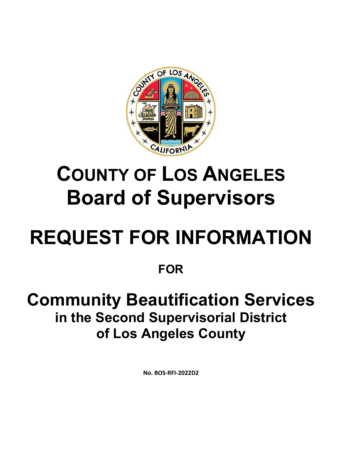

## **COUNTY OF LOS ANGELES Board of Supervisors**

# **REQUEST FOR INFORMATION**

### **FOR**

### **Community Beautification Services in the Second Supervisorial District of Los Angeles County**

**No. BOS-RFI-2022D2**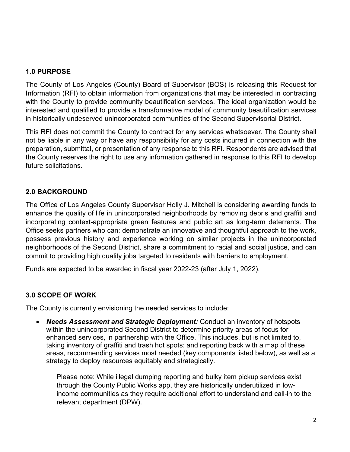#### **1.0 PURPOSE**

The County of Los Angeles (County) Board of Supervisor (BOS) is releasing this Request for Information (RFI) to obtain information from organizations that may be interested in contracting with the County to provide community beautification services. The ideal organization would be interested and qualified to provide a transformative model of community beautification services in historically undeserved unincorporated communities of the Second Supervisorial District.

This RFI does not commit the County to contract for any services whatsoever. The County shall not be liable in any way or have any responsibility for any costs incurred in connection with the preparation, submittal, or presentation of any response to this RFI. Respondents are advised that the County reserves the right to use any information gathered in response to this RFI to develop future solicitations.

#### **2.0 BACKGROUND**

The Office of Los Angeles County Supervisor Holly J. Mitchell is considering awarding funds to enhance the quality of life in unincorporated neighborhoods by removing debris and graffiti and incorporating context-appropriate green features and public art as long-term deterrents. The Office seeks partners who can: demonstrate an innovative and thoughtful approach to the work, possess previous history and experience working on similar projects in the unincorporated neighborhoods of the Second District, share a commitment to racial and social justice, and can commit to providing high quality jobs targeted to residents with barriers to employment.

Funds are expected to be awarded in fiscal year 2022-23 (after July 1, 2022).

#### **3.0 SCOPE OF WORK**

The County is currently envisioning the needed services to include:

• *Needs Assessment and Strategic Deployment:* Conduct an inventory of hotspots within the unincorporated Second District to determine priority areas of focus for enhanced services, in partnership with the Office. This includes, but is not limited to, taking inventory of graffiti and trash hot spots: and reporting back with a map of these areas, recommending services most needed (key components listed below), as well as a strategy to deploy resources equitably and strategically.

Please note: While illegal dumping reporting and bulky item pickup services exist through the County Public Works app, they are historically underutilized in lowincome communities as they require additional effort to understand and call-in to the relevant department (DPW).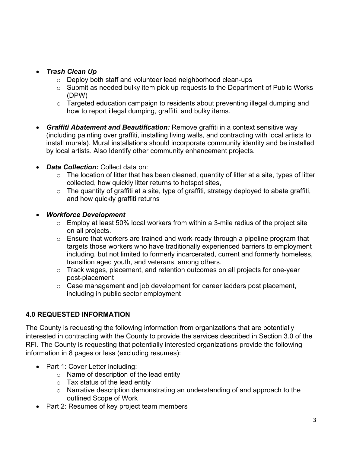#### • *Trash Clean Up*

- o Deploy both staff and volunteer lead neighborhood clean-ups
- $\circ$  Submit as needed bulky item pick up requests to the Department of Public Works (DPW)
- o Targeted education campaign to residents about preventing illegal dumping and how to report illegal dumping, graffiti, and bulky items.
- *Graffiti Abatement and Beautification:* Remove graffiti in a context sensitive way (including painting over graffiti, installing living walls, and contracting with local artists to install murals). Mural installations should incorporate community identity and be installed by local artists. Also Identify other community enhancement projects.
- *Data Collection:* Collect data on:
	- $\circ$  The location of litter that has been cleaned, quantity of litter at a site, types of litter collected, how quickly litter returns to hotspot sites,
	- o The quantity of graffiti at a site, type of graffiti, strategy deployed to abate graffiti, and how quickly graffiti returns

#### • *Workforce Development*

- o Employ at least 50% local workers from within a 3-mile radius of the project site on all projects.
- o Ensure that workers are trained and work-ready through a pipeline program that targets those workers who have traditionally experienced barriers to employment including, but not limited to formerly incarcerated, current and formerly homeless, transition aged youth, and veterans, among others.
- o Track wages, placement, and retention outcomes on all projects for one-year post-placement
- o Case management and job development for career ladders post placement, including in public sector employment

#### **4.0 REQUESTED INFORMATION**

The County is requesting the following information from organizations that are potentially interested in contracting with the County to provide the services described in Section 3.0 of the RFI. The County is requesting that potentially interested organizations provide the following information in 8 pages or less (excluding resumes):

- Part 1: Cover Letter including:
	- $\circ$  Name of description of the lead entity
	- $\circ$  Tax status of the lead entity
	- o Narrative description demonstrating an understanding of and approach to the outlined Scope of Work
- Part 2: Resumes of key project team members